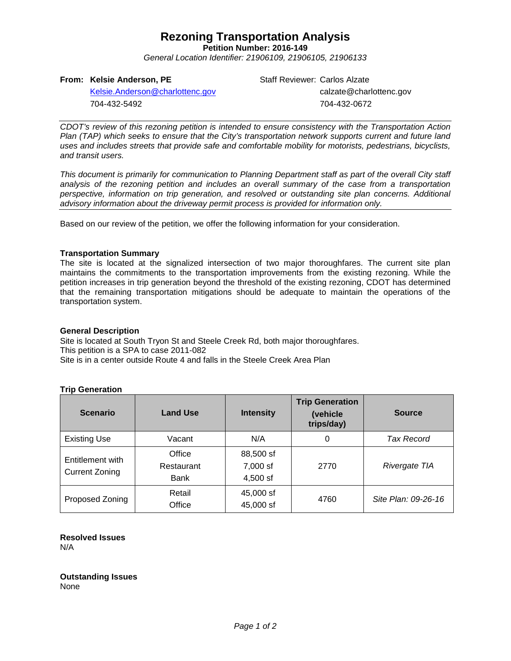# **Rezoning Transportation Analysis**

**Petition Number: 2016-149** *General Location Identifier: 21906109, 21906105, 21906133*

**From: Kelsie Anderson, PE**

704-432-5492

[Kelsie.Anderson@charlottenc.gov](mailto:Kelsie.Anderson@charlottenc.gov)

Staff Reviewer: Carlos Alzate calzate@charlottenc.gov 704-432-0672

*CDOT's review of this rezoning petition is intended to ensure consistency with the Transportation Action Plan (TAP) which seeks to ensure that the City's transportation network supports current and future land uses and includes streets that provide safe and comfortable mobility for motorists, pedestrians, bicyclists, and transit users.*

*This document is primarily for communication to Planning Department staff as part of the overall City staff analysis of the rezoning petition and includes an overall summary of the case from a transportation perspective, information on trip generation, and resolved or outstanding site plan concerns. Additional advisory information about the driveway permit process is provided for information only.*

Based on our review of the petition, we offer the following information for your consideration.

### **Transportation Summary**

The site is located at the signalized intersection of two major thoroughfares. The current site plan maintains the commitments to the transportation improvements from the existing rezoning. While the petition increases in trip generation beyond the threshold of the existing rezoning, CDOT has determined that the remaining transportation mitigations should be adequate to maintain the operations of the transportation system.

### **General Description**

Site is located at South Tryon St and Steele Creek Rd, both major thoroughfares. This petition is a SPA to case 2011-082 Site is in a center outside Route 4 and falls in the Steele Creek Area Plan

### **Trip Generation**

| <b>Scenario</b>                           | <b>Land Use</b>              | <b>Intensity</b>                  | <b>Trip Generation</b><br>(vehicle<br>trips/day) | <b>Source</b>       |
|-------------------------------------------|------------------------------|-----------------------------------|--------------------------------------------------|---------------------|
| <b>Existing Use</b>                       | Vacant                       | N/A                               | 0                                                | Tax Record          |
| Entitlement with<br><b>Current Zoning</b> | Office<br>Restaurant<br>Bank | 88,500 sf<br>7,000 sf<br>4,500 sf | 2770                                             | Rivergate TIA       |
| Proposed Zoning                           | Retail<br>Office             | 45,000 sf<br>45,000 sf            | 4760                                             | Site Plan: 09-26-16 |

### **Resolved Issues** N/A

**Outstanding Issues** None